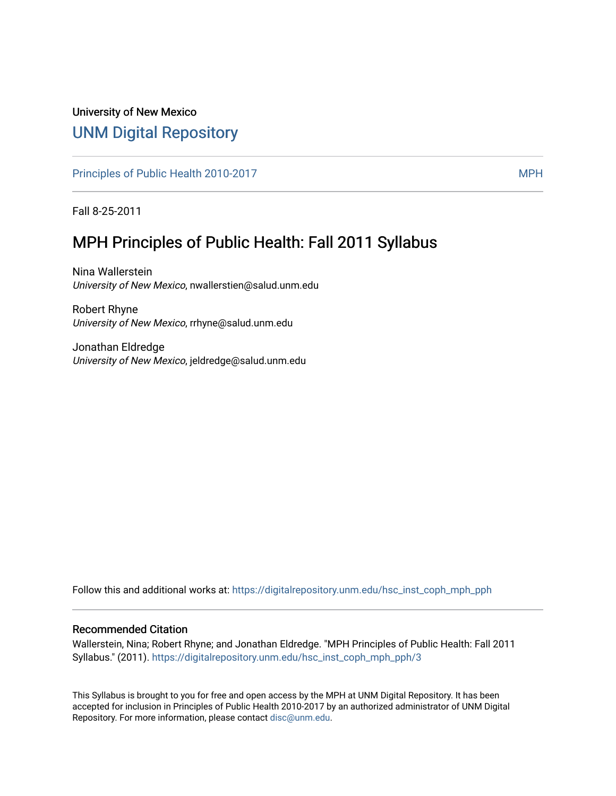# University of New Mexico [UNM Digital Repository](https://digitalrepository.unm.edu/)

[Principles of Public Health 2010-2017](https://digitalrepository.unm.edu/hsc_inst_coph_mph_pph) MPH

Fall 8-25-2011

# MPH Principles of Public Health: Fall 2011 Syllabus

Nina Wallerstein University of New Mexico, nwallerstien@salud.unm.edu

Robert Rhyne University of New Mexico, rrhyne@salud.unm.edu

Jonathan Eldredge University of New Mexico, jeldredge@salud.unm.edu

Follow this and additional works at: [https://digitalrepository.unm.edu/hsc\\_inst\\_coph\\_mph\\_pph](https://digitalrepository.unm.edu/hsc_inst_coph_mph_pph?utm_source=digitalrepository.unm.edu%2Fhsc_inst_coph_mph_pph%2F3&utm_medium=PDF&utm_campaign=PDFCoverPages)

#### Recommended Citation

Wallerstein, Nina; Robert Rhyne; and Jonathan Eldredge. "MPH Principles of Public Health: Fall 2011 Syllabus." (2011). [https://digitalrepository.unm.edu/hsc\\_inst\\_coph\\_mph\\_pph/3](https://digitalrepository.unm.edu/hsc_inst_coph_mph_pph/3?utm_source=digitalrepository.unm.edu%2Fhsc_inst_coph_mph_pph%2F3&utm_medium=PDF&utm_campaign=PDFCoverPages)

This Syllabus is brought to you for free and open access by the MPH at UNM Digital Repository. It has been accepted for inclusion in Principles of Public Health 2010-2017 by an authorized administrator of UNM Digital Repository. For more information, please contact [disc@unm.edu](mailto:disc@unm.edu).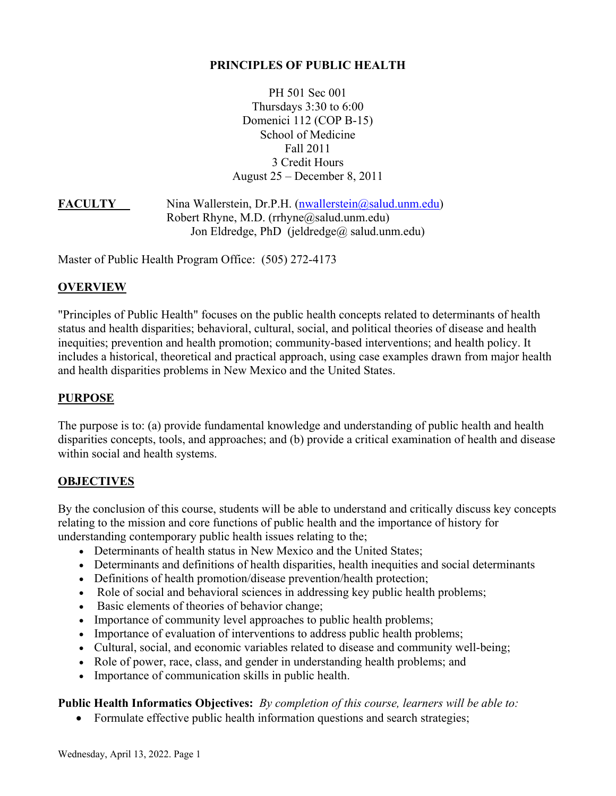#### **PRINCIPLES OF PUBLIC HEALTH**

PH 501 Sec 001 Thursdays 3:30 to 6:00 Domenici 112 (COP B-15) School of Medicine Fall 2011 3 Credit Hours August 25 – December 8, 2011

**FACULTY** Nina Wallerstein, Dr.P.H. [\(nwallerstein@salud.unm.edu\)](mailto:nwallerstein@salud.unm.edu) Robert Rhyne, M.D. (rrhyne@salud.unm.edu) Jon Eldredge, PhD (jeldredge@ salud.unm.edu)

Master of Public Health Program Office: (505) 272-4173

#### **OVERVIEW**

"Principles of Public Health" focuses on the public health concepts related to determinants of health status and health disparities; behavioral, cultural, social, and political theories of disease and health inequities; prevention and health promotion; community-based interventions; and health policy. It includes a historical, theoretical and practical approach, using case examples drawn from major health and health disparities problems in New Mexico and the United States.

#### **PURPOSE**

The purpose is to: (a) provide fundamental knowledge and understanding of public health and health disparities concepts, tools, and approaches; and (b) provide a critical examination of health and disease within social and health systems.

#### **OBJECTIVES**

By the conclusion of this course, students will be able to understand and critically discuss key concepts relating to the mission and core functions of public health and the importance of history for understanding contemporary public health issues relating to the;

- Determinants of health status in New Mexico and the United States;
- Determinants and definitions of health disparities, health inequities and social determinants
- Definitions of health promotion/disease prevention/health protection;
- Role of social and behavioral sciences in addressing key public health problems;
- Basic elements of theories of behavior change;
- Importance of community level approaches to public health problems;
- Importance of evaluation of interventions to address public health problems;
- Cultural, social, and economic variables related to disease and community well-being;
- Role of power, race, class, and gender in understanding health problems; and
- Importance of communication skills in public health.

# **Public Health Informatics Objectives:** *By completion of this course, learners will be able to:*

• Formulate effective public health information questions and search strategies;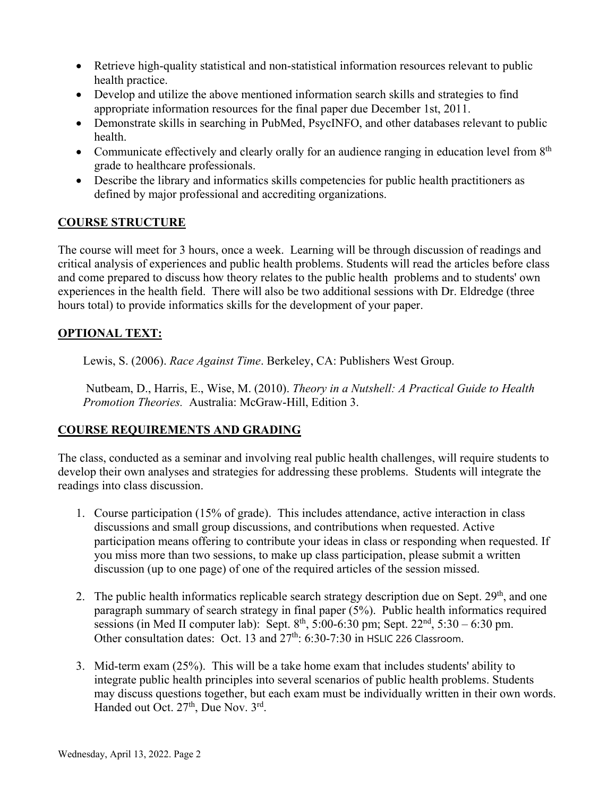- Retrieve high-quality statistical and non-statistical information resources relevant to public health practice.
- Develop and utilize the above mentioned information search skills and strategies to find appropriate information resources for the final paper due December 1st, 2011.
- Demonstrate skills in searching in PubMed, PsycINFO, and other databases relevant to public health.
- Communicate effectively and clearly orally for an audience ranging in education level from  $8<sup>th</sup>$ grade to healthcare professionals.
- Describe the library and informatics skills competencies for public health practitioners as defined by major professional and accrediting organizations.

# **COURSE STRUCTURE**

The course will meet for 3 hours, once a week. Learning will be through discussion of readings and critical analysis of experiences and public health problems. Students will read the articles before class and come prepared to discuss how theory relates to the public health problems and to students' own experiences in the health field. There will also be two additional sessions with Dr. Eldredge (three hours total) to provide informatics skills for the development of your paper.

# **OPTIONAL TEXT:**

Lewis, S. (2006). *Race Against Time*. Berkeley, CA: Publishers West Group.

Nutbeam, D., Harris, E., Wise, M. (2010). *Theory in a Nutshell: A Practical Guide to Health Promotion Theories.* Australia: McGraw-Hill, Edition 3.

# **COURSE REQUIREMENTS AND GRADING**

The class, conducted as a seminar and involving real public health challenges, will require students to develop their own analyses and strategies for addressing these problems. Students will integrate the readings into class discussion.

- 1. Course participation (15% of grade). This includes attendance, active interaction in class discussions and small group discussions, and contributions when requested. Active participation means offering to contribute your ideas in class or responding when requested. If you miss more than two sessions, to make up class participation, please submit a written discussion (up to one page) of one of the required articles of the session missed.
- 2. The public health informatics replicable search strategy description due on Sept. 29<sup>th</sup>, and one paragraph summary of search strategy in final paper (5%). Public health informatics required sessions (in Med II computer lab): Sept.  $8^{th}$ , 5:00-6:30 pm; Sept. 22<sup>nd</sup>, 5:30 – 6:30 pm. Other consultation dates: Oct. 13 and  $27<sup>th</sup>$ : 6:30-7:30 in HSLIC 226 Classroom.
- 3. Mid-term exam (25%). This will be a take home exam that includes students' ability to integrate public health principles into several scenarios of public health problems. Students may discuss questions together, but each exam must be individually written in their own words. Handed out Oct.  $27<sup>th</sup>$ , Due Nov.  $3<sup>rd</sup>$ .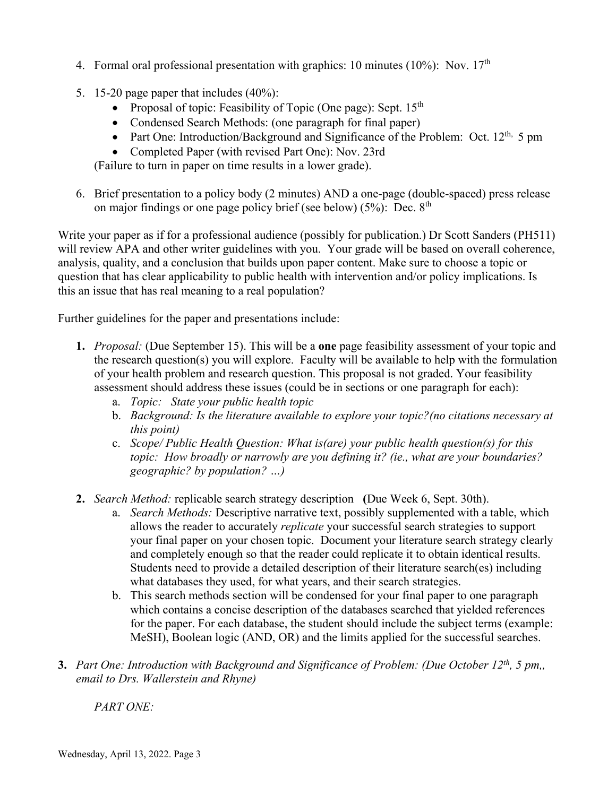- 4. Formal oral professional presentation with graphics: 10 minutes (10%): Nov.  $17<sup>th</sup>$
- 5. 15-20 page paper that includes (40%):
	- Proposal of topic: Feasibility of Topic (One page): Sept.  $15<sup>th</sup>$
	- Condensed Search Methods: (one paragraph for final paper)
	- Part One: Introduction/Background and Significance of the Problem: Oct.  $12<sup>th</sup>$ , 5 pm
	- Completed Paper (with revised Part One): Nov. 23rd

(Failure to turn in paper on time results in a lower grade).

6. Brief presentation to a policy body (2 minutes) AND a one-page (double-spaced) press release on major findings or one page policy brief (see below)  $(5\%)$ : Dec.  $8<sup>th</sup>$ 

Write your paper as if for a professional audience (possibly for publication.) Dr Scott Sanders (PH511) will review APA and other writer guidelines with you. Your grade will be based on overall coherence, analysis, quality, and a conclusion that builds upon paper content. Make sure to choose a topic or question that has clear applicability to public health with intervention and/or policy implications. Is this an issue that has real meaning to a real population?

Further guidelines for the paper and presentations include:

- **1.** *Proposal:* (Due September 15). This will be a **one** page feasibility assessment of your topic and the research question(s) you will explore. Faculty will be available to help with the formulation of your health problem and research question. This proposal is not graded. Your feasibility assessment should address these issues (could be in sections or one paragraph for each):
	- a. *Topic: State your public health topic*
	- b. *Background: Is the literature available to explore your topic?(no citations necessary at this point)*
	- c. *Scope/ Public Health Question: What is(are) your public health question(s) for this topic: How broadly or narrowly are you defining it? (ie., what are your boundaries? geographic? by population? …)*
- **2.** *Search Method:* replicable search strategy description**(**Due Week 6, Sept. 30th).
	- a. *Search Methods:* Descriptive narrative text, possibly supplemented with a table, which allows the reader to accurately *replicate* your successful search strategies to support your final paper on your chosen topic. Document your literature search strategy clearly and completely enough so that the reader could replicate it to obtain identical results. Students need to provide a detailed description of their literature search(es) including what databases they used, for what years, and their search strategies.
	- b. This search methods section will be condensed for your final paper to one paragraph which contains a concise description of the databases searched that yielded references for the paper. For each database, the student should include the subject terms (example: MeSH), Boolean logic (AND, OR) and the limits applied for the successful searches.
- **3.** *Part One: Introduction with Background and Significance of Problem: (Due October 12th, 5 pm,, email to Drs. Wallerstein and Rhyne)*

*PART ONE:*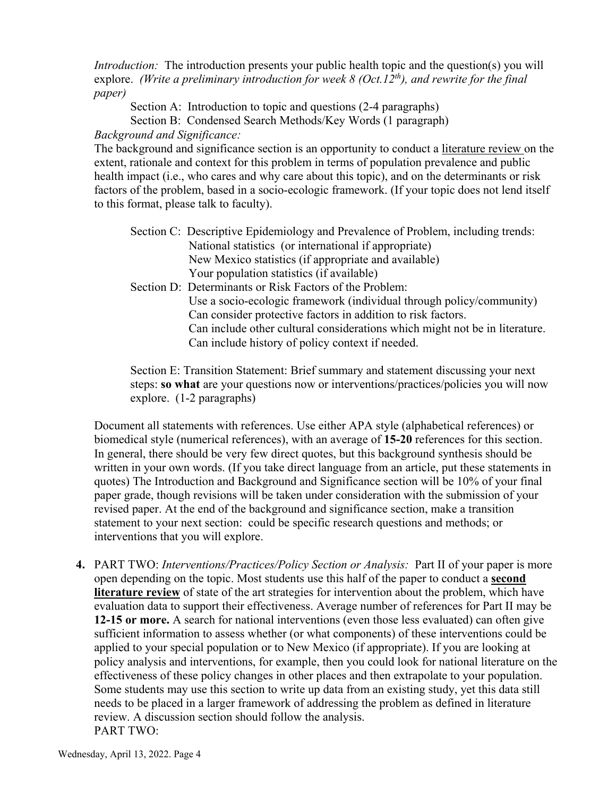*Introduction:* The introduction presents your public health topic and the question(s) you will explore. *(Write a preliminary introduction for week 8 (Oct.12<sup>th</sup>), and rewrite for the final paper)*

Section A: Introduction to topic and questions (2-4 paragraphs)

Section B: Condensed Search Methods/Key Words (1 paragraph)

# *Background and Significance:*

The background and significance section is an opportunity to conduct a literature review on the extent, rationale and context for this problem in terms of population prevalence and public health impact (i.e., who cares and why care about this topic), and on the determinants or risk factors of the problem, based in a socio-ecologic framework. (If your topic does not lend itself to this format, please talk to faculty).

| Section C: Descriptive Epidemiology and Prevalence of Problem, including trends:                                                                                                                                                                                                                                                                  |
|---------------------------------------------------------------------------------------------------------------------------------------------------------------------------------------------------------------------------------------------------------------------------------------------------------------------------------------------------|
| National statistics (or international if appropriate)                                                                                                                                                                                                                                                                                             |
| New Mexico statistics (if appropriate and available)                                                                                                                                                                                                                                                                                              |
| Your population statistics (if available)                                                                                                                                                                                                                                                                                                         |
| Section D: Determinants or Risk Factors of the Problem:                                                                                                                                                                                                                                                                                           |
| $\mathbf{I} \mathbf{I}$ , $\mathbf{I} \mathbf{I}$ , $\mathbf{I} \mathbf{I}$ , $\mathbf{I} \mathbf{I}$ , $\mathbf{I} \mathbf{I}$ , $\mathbf{I} \mathbf{I}$ , $\mathbf{I} \mathbf{I}$ , $\mathbf{I} \mathbf{I}$ , $\mathbf{I} \mathbf{I}$ , $\mathbf{I} \mathbf{I}$ , $\mathbf{I} \mathbf{I}$ , $\mathbf{I} \mathbf{I}$ , $\mathbf{I} \mathbf{I}$ , |

Use a socio-ecologic framework (individual through policy/community) Can consider protective factors in addition to risk factors. Can include other cultural considerations which might not be in literature. Can include history of policy context if needed.

Section E: Transition Statement: Brief summary and statement discussing your next steps: **so what** are your questions now or interventions/practices/policies you will now explore. (1-2 paragraphs)

Document all statements with references. Use either APA style (alphabetical references) or biomedical style (numerical references), with an average of **15-20** references for this section. In general, there should be very few direct quotes, but this background synthesis should be written in your own words. (If you take direct language from an article, put these statements in quotes) The Introduction and Background and Significance section will be 10% of your final paper grade, though revisions will be taken under consideration with the submission of your revised paper. At the end of the background and significance section, make a transition statement to your next section: could be specific research questions and methods; or interventions that you will explore.

**4.** PART TWO: *Interventions/Practices/Policy Section or Analysis:* Part II of your paper is more open depending on the topic. Most students use this half of the paper to conduct a **second literature review** of state of the art strategies for intervention about the problem, which have evaluation data to support their effectiveness. Average number of references for Part II may be **12-15 or more.** A search for national interventions (even those less evaluated) can often give sufficient information to assess whether (or what components) of these interventions could be applied to your special population or to New Mexico (if appropriate). If you are looking at policy analysis and interventions, for example, then you could look for national literature on the effectiveness of these policy changes in other places and then extrapolate to your population. Some students may use this section to write up data from an existing study, yet this data still needs to be placed in a larger framework of addressing the problem as defined in literature review. A discussion section should follow the analysis. PART TWO: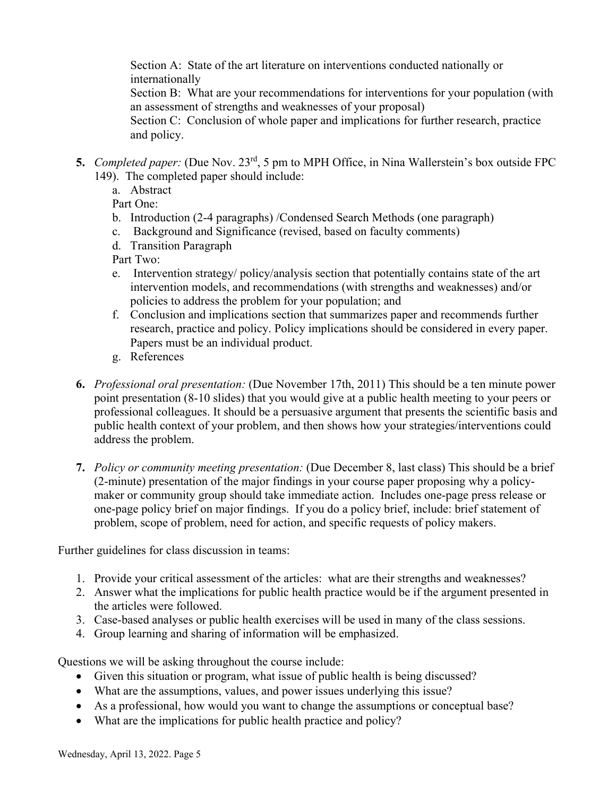Section A: State of the art literature on interventions conducted nationally or internationally

Section B: What are your recommendations for interventions for your population (with an assessment of strengths and weaknesses of your proposal)

Section C: Conclusion of whole paper and implications for further research, practice and policy.

- **5.** *Completed paper:* (Due Nov. 23rd, 5 pm to MPH Office, in Nina Wallerstein's box outside FPC 149). The completed paper should include:
	- a. Abstract

Part One:

- b. Introduction (2-4 paragraphs) /Condensed Search Methods (one paragraph)
- c. Background and Significance (revised, based on faculty comments)
- d. Transition Paragraph

Part Two:

- e. Intervention strategy/ policy/analysis section that potentially contains state of the art intervention models, and recommendations (with strengths and weaknesses) and/or policies to address the problem for your population; and
- f. Conclusion and implications section that summarizes paper and recommends further research, practice and policy. Policy implications should be considered in every paper. Papers must be an individual product.
- g. References
- **6.** *Professional oral presentation:* (Due November 17th, 2011) This should be a ten minute power point presentation (8-10 slides) that you would give at a public health meeting to your peers or professional colleagues. It should be a persuasive argument that presents the scientific basis and public health context of your problem, and then shows how your strategies/interventions could address the problem.
- **7.** *Policy or community meeting presentation:* (Due December 8, last class) This should be a brief (2-minute) presentation of the major findings in your course paper proposing why a policymaker or community group should take immediate action. Includes one-page press release or one-page policy brief on major findings. If you do a policy brief, include: brief statement of problem, scope of problem, need for action, and specific requests of policy makers.

Further guidelines for class discussion in teams:

- 1. Provide your critical assessment of the articles: what are their strengths and weaknesses?
- 2. Answer what the implications for public health practice would be if the argument presented in the articles were followed.
- 3. Case-based analyses or public health exercises will be used in many of the class sessions.
- 4. Group learning and sharing of information will be emphasized.

Questions we will be asking throughout the course include:

- Given this situation or program, what issue of public health is being discussed?
- What are the assumptions, values, and power issues underlying this issue?
- As a professional, how would you want to change the assumptions or conceptual base?
- What are the implications for public health practice and policy?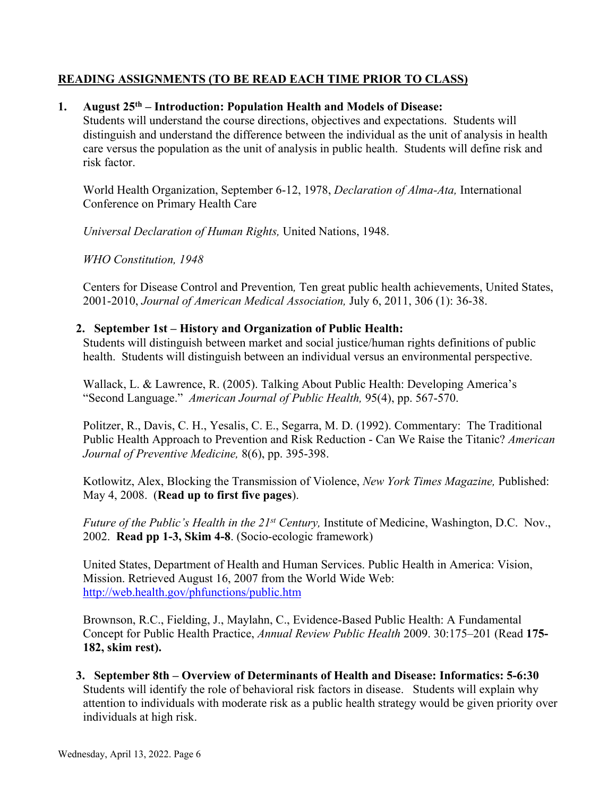# **READING ASSIGNMENTS (TO BE READ EACH TIME PRIOR TO CLASS)**

#### **1. August 25th – Introduction: Population Health and Models of Disease:**

 Students will understand the course directions, objectives and expectations. Students will distinguish and understand the difference between the individual as the unit of analysis in health care versus the population as the unit of analysis in public health. Students will define risk and risk factor.

 World Health Organization, September 6-12, 1978, *Declaration of Alma-Ata,* International Conference on Primary Health Care

*Universal Declaration of Human Rights,* United Nations, 1948.

 *WHO Constitution, 1948* 

Centers for Disease Control and Prevention*,* Ten great public health achievements, United States, 2001-2010, *Journal of American Medical Association,* July 6, 2011, 306 (1): 36-38.

#### **2. September 1st – History and Organization of Public Health:**

 Students will distinguish between market and social justice/human rights definitions of public health. Students will distinguish between an individual versus an environmental perspective.

Wallack, L. & Lawrence, R. (2005). Talking About Public Health: Developing America's "Second Language." *American Journal of Public Health,* 95(4), pp. 567-570.

Politzer, R., Davis, C. H., Yesalis, C. E., Segarra, M. D. (1992). Commentary: The Traditional Public Health Approach to Prevention and Risk Reduction - Can We Raise the Titanic? *American Journal of Preventive Medicine,* 8(6), pp. 395-398.

Kotlowitz, Alex, Blocking the Transmission of Violence, *New York Times Magazine,* Published: May 4, 2008. (**Read up to first five pages**).

*Future of the Public's Health in the 21st Century,* Institute of Medicine, Washington, D.C. Nov., 2002. **Read pp 1-3, Skim 4-8**. (Socio-ecologic framework)

United States, Department of Health and Human Services. Public Health in America: Vision, Mission. Retrieved August 16, 2007 from the World Wide Web: <http://web.health.gov/phfunctions/public.htm>

Brownson, R.C., Fielding, J., Maylahn, C., Evidence-Based Public Health: A Fundamental Concept for Public Health Practice, *Annual Review Public Health* 2009. 30:175–201 (Read **175- 182, skim rest).** 

**3. September 8th – Overview of Determinants of Health and Disease: Informatics: 5-6:30**  Students will identify the role of behavioral risk factors in disease. Students will explain why attention to individuals with moderate risk as a public health strategy would be given priority over individuals at high risk.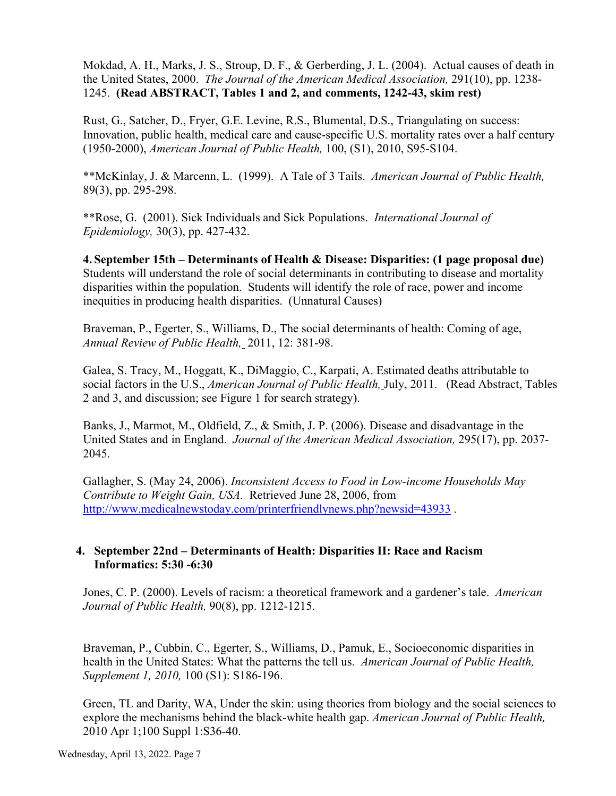Mokdad, A. H., Marks, J. S., Stroup, D. F., & Gerberding, J. L. (2004). Actual causes of death in the United States, 2000. *The Journal of the American Medical Association,* 291(10), pp. 1238- 1245. **(Read ABSTRACT, Tables 1 and 2, and comments, 1242-43, skim rest)** 

Rust, G., Satcher, D., Fryer, G.E. Levine, R.S., Blumental, D.S., Triangulating on success: Innovation, public health, medical care and cause-specific U.S. mortality rates over a half century (1950-2000), *American Journal of Public Health,* 100, (S1), 2010, S95-S104.

 \*\*McKinlay, J. & Marcenn, L. (1999). A Tale of 3 Tails. *American Journal of Public Health,* 89(3), pp. 295-298.

 \*\*Rose, G. (2001). Sick Individuals and Sick Populations. *International Journal of Epidemiology,* 30(3), pp. 427-432.

**4. September 15th – Determinants of Health & Disease: Disparities: (1 page proposal due)** Students will understand the role of social determinants in contributing to disease and mortality disparities within the population. Students will identify the role of race, power and income inequities in producing health disparities. (Unnatural Causes)

Braveman, P., Egerter, S., Williams, D., The social determinants of health: Coming of age, *Annual Review of Public Health,* 2011, 12: 381-98.

Galea, S. Tracy, M., Hoggatt, K., DiMaggio, C., Karpati, A. Estimated deaths attributable to social factors in the U.S., *American Journal of Public Health,* July, 2011. (Read Abstract, Tables 2 and 3, and discussion; see Figure 1 for search strategy).

Banks, J., Marmot, M., Oldfield, Z., & Smith, J. P. (2006). Disease and disadvantage in the United States and in England. *Journal of the American Medical Association,* 295(17), pp. 2037- 2045.

Gallagher, S. (May 24, 2006). *Inconsistent Access to Food in Low-income Households May Contribute to Weight Gain, USA.* Retrieved June 28, 2006, from http://www.medicalnewstoday.com/printerfriendlynews.php?newsid=43933.

# **4. September 22nd – Determinants of Health: Disparities II: Race and Racism Informatics: 5:30 -6:30**

Jones, C. P. (2000). Levels of racism: a theoretical framework and a gardener's tale. *American Journal of Public Health,* 90(8), pp. 1212-1215.

Braveman, P., Cubbin, C., Egerter, S., Williams, D., Pamuk, E., Socioeconomic disparities in health in the United States: What the patterns the tell us. *American Journal of Public Health, Supplement 1, 2010,* 100 (S1): S186-196.

Green, TL and Darity, WA, Under the skin: using theories from biology and the social sciences to explore the mechanisms behind the black-white health gap. *American Journal of Public Health,*  2010 Apr 1;100 Suppl 1:S36-40.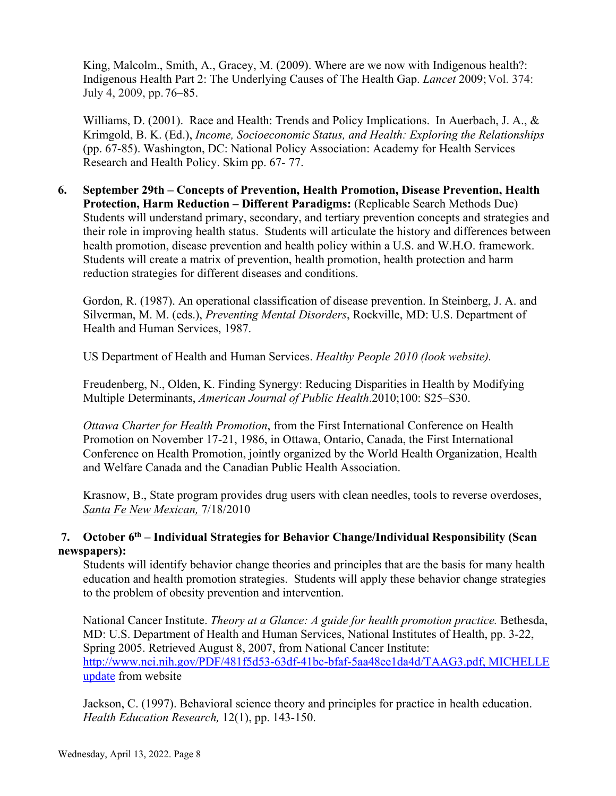King, Malcolm., Smith, A., Gracey, M. (2009). Where are we now with Indigenous health?: Indigenous Health Part 2: The Underlying Causes of The Health Gap. *Lancet* 2009;Vol. 374: July 4, 2009, pp.76–85.

Williams, D. (2001). Race and Health: Trends and Policy Implications. In Auerbach, J. A., & Krimgold, B. K. (Ed.), *Income, Socioeconomic Status, and Health: Exploring the Relationships*  (pp. 67-85). Washington, DC: National Policy Association: Academy for Health Services Research and Health Policy. Skim pp. 67- 77.

**6. September 29th – Concepts of Prevention, Health Promotion, Disease Prevention, Health Protection, Harm Reduction – Different Paradigms:** (Replicable Search Methods Due) Students will understand primary, secondary, and tertiary prevention concepts and strategies and their role in improving health status. Students will articulate the history and differences between health promotion, disease prevention and health policy within a U.S. and W.H.O. framework. Students will create a matrix of prevention, health promotion, health protection and harm reduction strategies for different diseases and conditions.

Gordon, R. (1987). An operational classification of disease prevention. In Steinberg, J. A. and Silverman, M. M. (eds.), *Preventing Mental Disorders*, Rockville, MD: U.S. Department of Health and Human Services, 1987.

US Department of Health and Human Services. *Healthy People 2010 (look website).*

Freudenberg, N., Olden, K. Finding Synergy: Reducing Disparities in Health by Modifying Multiple Determinants, *American Journal of Public Health*.2010;100: S25–S30.

*Ottawa Charter for Health Promotion*, from the First International Conference on Health Promotion on November 17-21, 1986, in Ottawa, Ontario, Canada, the First International Conference on Health Promotion, jointly organized by the World Health Organization, Health and Welfare Canada and the Canadian Public Health Association.

Krasnow, B., State program provides drug users with clean needles, tools to reverse overdoses, *Santa Fe New Mexican,* 7/18/2010

# **7. October 6th – Individual Strategies for Behavior Change/Individual Responsibility (Scan newspapers):**

Students will identify behavior change theories and principles that are the basis for many health education and health promotion strategies. Students will apply these behavior change strategies to the problem of obesity prevention and intervention.

National Cancer Institute. *Theory at a Glance: A guide for health promotion practice.* Bethesda, MD: U.S. Department of Health and Human Services, National Institutes of Health, pp. 3-22, Spring 2005. Retrieved August 8, 2007, from National Cancer Institute: [http://www.nci.nih.gov/PDF/481f5d53-63df-41bc-bfaf-5aa48ee1da4d/TAAG3.pdf, MICHELLE](http://www.nci.nih.gov/PDF/481f5d53-63df-41bc-bfaf-5aa48ee1da4d/TAAG3.pdf,%20MICHELLE%20update)  [update](http://www.nci.nih.gov/PDF/481f5d53-63df-41bc-bfaf-5aa48ee1da4d/TAAG3.pdf,%20MICHELLE%20update) from website

Jackson, C. (1997). Behavioral science theory and principles for practice in health education. *Health Education Research,* 12(1), pp. 143-150.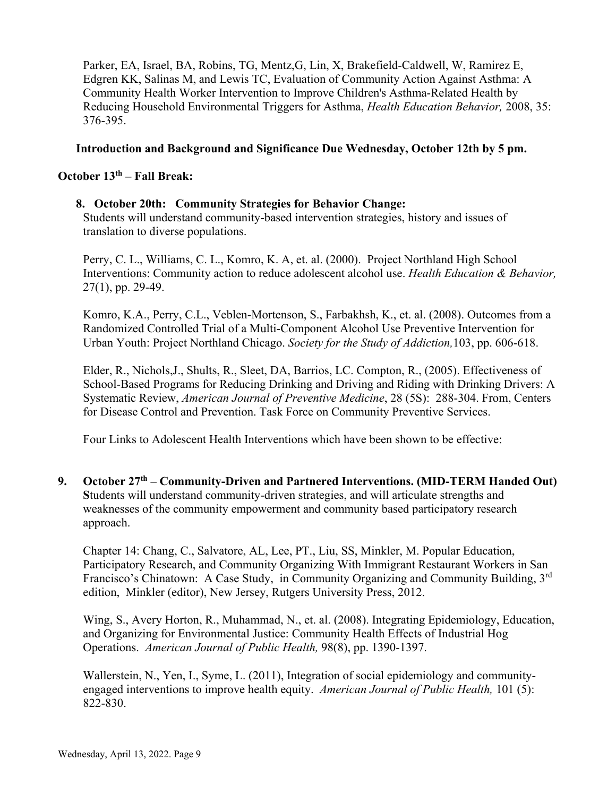Parker, EA, Israel, BA, Robins, TG, Mentz,G, Lin, X, Brakefield-Caldwell, W, Ramirez E, Edgren KK, Salinas M, and Lewis TC, Evaluation of Community Action Against Asthma: A Community Health Worker Intervention to Improve Children's Asthma-Related Health by Reducing Household Environmental Triggers for Asthma, *Health Education Behavior,* 2008, 35: 376-395.

#### **Introduction and Background and Significance Due Wednesday, October 12th by 5 pm.**

#### **October 13th – Fall Break:**

#### **8. October 20th: Community Strategies for Behavior Change:**

Students will understand community-based intervention strategies, history and issues of translation to diverse populations.

Perry, C. L., Williams, C. L., Komro, K. A, et. al. (2000). Project Northland High School Interventions: Community action to reduce adolescent alcohol use. *Health Education & Behavior,*  27(1), pp. 29-49.

Komro, K.A., Perry, C.L., Veblen-Mortenson, S., Farbakhsh, K., et. al. (2008). Outcomes from a Randomized Controlled Trial of a Multi-Component Alcohol Use Preventive Intervention for Urban Youth: Project Northland Chicago. *Society for the Study of Addiction,*103, pp. 606-618.

Elder, R., Nichols,J., Shults, R., Sleet, DA, Barrios, LC. Compton, R., (2005). Effectiveness of School-Based Programs for Reducing Drinking and Driving and Riding with Drinking Drivers: A Systematic Review, *American Journal of Preventive Medicine*, 28 (5S): 288-304. From, Centers for Disease Control and Prevention. Task Force on Community Preventive Services.

Four Links to Adolescent Health Interventions which have been shown to be effective:

**9. October 27th – Community-Driven and Partnered Interventions. (MID-TERM Handed Out) S**tudents will understand community-driven strategies, and will articulate strengths and weaknesses of the community empowerment and community based participatory research approach.

Chapter 14: Chang, C., Salvatore, AL, Lee, PT., Liu, SS, Minkler, M. Popular Education, Participatory Research, and Community Organizing With Immigrant Restaurant Workers in San Francisco's Chinatown: A Case Study, in Community Organizing and Community Building, 3rd edition, Minkler (editor), New Jersey, Rutgers University Press, 2012.

Wing, S., Avery Horton, R., Muhammad, N., et. al. (2008). Integrating Epidemiology, Education, and Organizing for Environmental Justice: Community Health Effects of Industrial Hog Operations. *American Journal of Public Health,* 98(8), pp. 1390-1397.

Wallerstein, N., Yen, I., Syme, L. (2011), Integration of social epidemiology and communityengaged interventions to improve health equity. *American Journal of Public Health,* 101 (5): 822-830.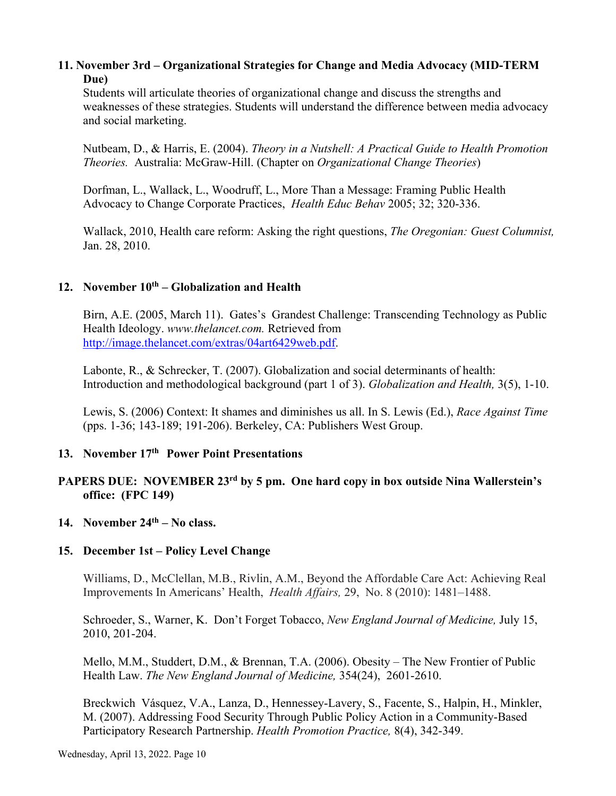#### **11. November 3rd – Organizational Strategies for Change and Media Advocacy (MID-TERM Due)**

Students will articulate theories of organizational change and discuss the strengths and weaknesses of these strategies. Students will understand the difference between media advocacy and social marketing.

 Nutbeam, D., & Harris, E. (2004). *Theory in a Nutshell: A Practical Guide to Health Promotion Theories.* Australia: McGraw-Hill. (Chapter on *Organizational Change Theories*)

Dorfman, L., Wallack, L., Woodruff, L., More Than a Message: Framing Public Health Advocacy to Change Corporate Practices, *Health Educ Behav* 2005; 32; 320-336.

Wallack, 2010, Health care reform: Asking the right questions, *The Oregonian: Guest Columnist,*  Jan. 28, 2010.

# 12. November  $10^{th}$  – Globalization and Health

 Birn, A.E. (2005, March 11). Gates's Grandest Challenge: Transcending Technology as Public Health Ideology. *www.thelancet.com.* Retrieved from [http://image.thelancet.com/extras/04art6429web.pdf.](http://image.thelancet.com/extras/04art6429web.pdf)

 Labonte, R., & Schrecker, T. (2007). Globalization and social determinants of health: Introduction and methodological background (part 1 of 3). *Globalization and Health,* 3(5), 1-10.

Lewis, S. (2006) Context: It shames and diminishes us all. In S. Lewis (Ed.), *Race Against Time* (pps. 1-36; 143-189; 191-206). Berkeley, CA: Publishers West Group.

#### **13. November 17th Power Point Presentations**

# **PAPERS DUE: NOVEMBER 23rd by 5 pm. One hard copy in box outside Nina Wallerstein's office: (FPC 149)**

#### **14. November 24th – No class.**

#### **15. December 1st – Policy Level Change**

Williams, D., McClellan, M.B., Rivlin, A.M., Beyond the Affordable Care Act: Achieving Real Improvements In Americans' Health, *Health Affairs,* 29, No. 8 (2010): 1481*–*1488.

Schroeder, S., Warner, K. Don't Forget Tobacco, *New England Journal of Medicine,* July 15, 2010, 201-204.

Mello, M.M., Studdert, D.M., & Brennan, T.A. (2006). Obesity – The New Frontier of Public Health Law. *The New England Journal of Medicine,* 354(24), 2601-2610.

Breckwich Vásquez, V.A., Lanza, D., Hennessey-Lavery, S., Facente, S., Halpin, H., Minkler, M. (2007). Addressing Food Security Through Public Policy Action in a Community-Based Participatory Research Partnership. *Health Promotion Practice,* 8(4), 342-349.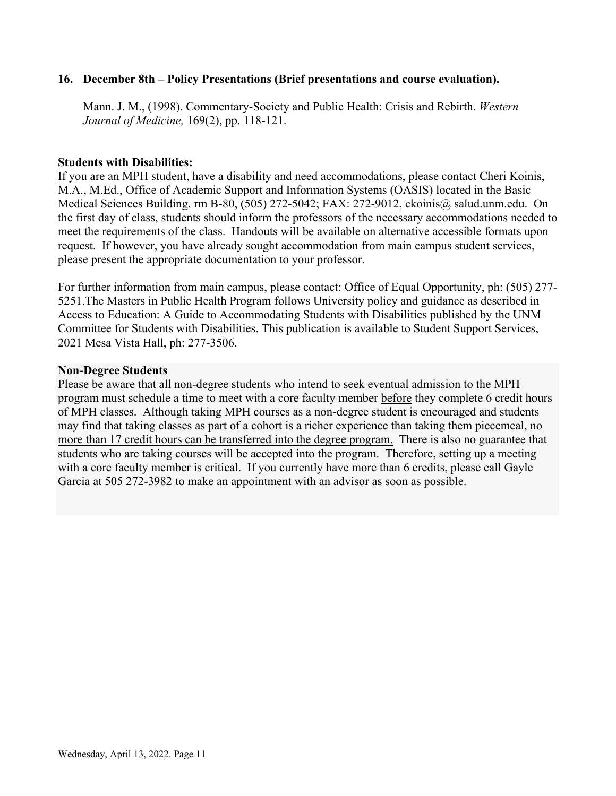#### **16. December 8th – Policy Presentations (Brief presentations and course evaluation).**

 Mann. J. M., (1998). Commentary-Society and Public Health: Crisis and Rebirth. *Western Journal of Medicine,* 169(2), pp. 118-121.

#### **Students with Disabilities:**

If you are an MPH student, have a disability and need accommodations, please contact Cheri Koinis, M.A., M.Ed., Office of Academic Support and Information Systems (OASIS) located in the Basic Medical Sciences Building, rm B-80, (505) 272-5042; FAX: 272-9012, ckoinis@ salud.unm.edu. On the first day of class, students should inform the professors of the necessary accommodations needed to meet the requirements of the class. Handouts will be available on alternative accessible formats upon request. If however, you have already sought accommodation from main campus student services, please present the appropriate documentation to your professor.

For further information from main campus, please contact: Office of Equal Opportunity, ph: (505) 277- 5251.The Masters in Public Health Program follows University policy and guidance as described in Access to Education: A Guide to Accommodating Students with Disabilities published by the UNM Committee for Students with Disabilities. This publication is available to Student Support Services, 2021 Mesa Vista Hall, ph: 277-3506.

#### **Non-Degree Students**

Please be aware that all non-degree students who intend to seek eventual admission to the MPH program must schedule a time to meet with a core faculty member before they complete 6 credit hours of MPH classes. Although taking MPH courses as a non-degree student is encouraged and students may find that taking classes as part of a cohort is a richer experience than taking them piecemeal, no more than 17 credit hours can be transferred into the degree program. There is also no guarantee that students who are taking courses will be accepted into the program. Therefore, setting up a meeting with a core faculty member is critical. If you currently have more than 6 credits, please call Gayle Garcia at 505 272-3982 to make an appointment with an advisor as soon as possible.